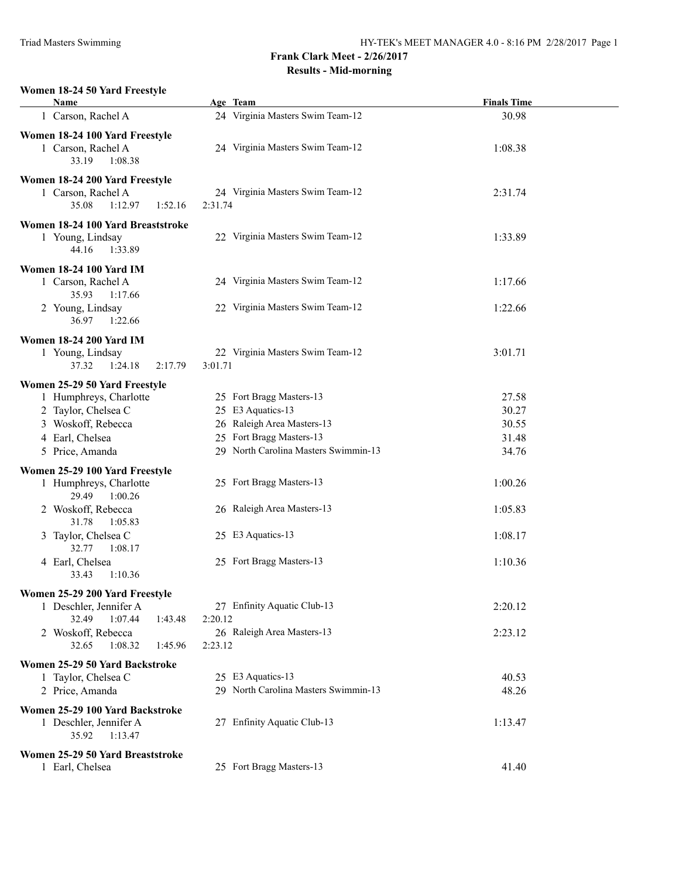#### **Women 18-24 50 Yard Freestyle**

| Name                                              | Age Team                             | <b>Finals Time</b> |
|---------------------------------------------------|--------------------------------------|--------------------|
| 1 Carson, Rachel A                                | 24 Virginia Masters Swim Team-12     | 30.98              |
| Women 18-24 100 Yard Freestyle                    |                                      |                    |
| 1 Carson, Rachel A                                | 24 Virginia Masters Swim Team-12     | 1:08.38            |
| 33.19<br>1:08.38                                  |                                      |                    |
|                                                   |                                      |                    |
| Women 18-24 200 Yard Freestyle                    | 24 Virginia Masters Swim Team-12     | 2:31.74            |
| 1 Carson, Rachel A<br>35.08<br>1:12.97<br>1:52.16 | 2:31.74                              |                    |
|                                                   |                                      |                    |
| Women 18-24 100 Yard Breaststroke                 |                                      |                    |
| 1 Young, Lindsay                                  | 22 Virginia Masters Swim Team-12     | 1:33.89            |
| 44.16<br>1:33.89                                  |                                      |                    |
| <b>Women 18-24 100 Yard IM</b>                    |                                      |                    |
| 1 Carson, Rachel A                                | 24 Virginia Masters Swim Team-12     | 1:17.66            |
| 35.93<br>1:17.66                                  |                                      |                    |
| 2 Young, Lindsay                                  | 22 Virginia Masters Swim Team-12     | 1:22.66            |
| 36.97 1:22.66                                     |                                      |                    |
| <b>Women 18-24 200 Yard IM</b>                    |                                      |                    |
| 1 Young, Lindsay                                  | 22 Virginia Masters Swim Team-12     | 3:01.71            |
| 37.32<br>1:24.18<br>2:17.79                       | 3:01.71                              |                    |
| Women 25-29 50 Yard Freestyle                     |                                      |                    |
| 1 Humphreys, Charlotte                            | 25 Fort Bragg Masters-13             | 27.58              |
| 2 Taylor, Chelsea C                               | 25 E3 Aquatics-13                    | 30.27              |
| 3 Woskoff, Rebecca                                | 26 Raleigh Area Masters-13           | 30.55              |
| 4 Earl, Chelsea                                   | 25 Fort Bragg Masters-13             | 31.48              |
| 5 Price, Amanda                                   | 29 North Carolina Masters Swimmin-13 | 34.76              |
| Women 25-29 100 Yard Freestyle                    |                                      |                    |
| 1 Humphreys, Charlotte                            | 25 Fort Bragg Masters-13             | 1:00.26            |
| 29.49<br>1:00.26                                  |                                      |                    |
| 2 Woskoff, Rebecca                                | 26 Raleigh Area Masters-13           | 1:05.83            |
| 31.78<br>1:05.83                                  |                                      |                    |
| 3 Taylor, Chelsea C                               | 25 E3 Aquatics-13                    | 1:08.17            |
| 32.77<br>1:08.17                                  |                                      |                    |
| 4 Earl, Chelsea                                   | 25 Fort Bragg Masters-13             | 1:10.36            |
| 33.43<br>1:10.36                                  |                                      |                    |
| Women 25-29 200 Yard Freestyle                    |                                      |                    |
| 1 Deschler, Jennifer A                            | 27 Enfinity Aquatic Club-13          | 2:20.12            |
| 32.49<br>1:07.44<br>1:43.48                       | 2:20.12                              |                    |
| 2 Woskoff, Rebecca                                | 26 Raleigh Area Masters-13           | 2:23.12            |
| 32.65<br>1:08.32<br>1:45.96                       | 2:23.12                              |                    |
| Women 25-29 50 Yard Backstroke                    |                                      |                    |
| 1 Taylor, Chelsea C                               | 25 E3 Aquatics-13                    | 40.53              |
| 2 Price, Amanda                                   | 29 North Carolina Masters Swimmin-13 | 48.26              |
| Women 25-29 100 Yard Backstroke                   |                                      |                    |
| 1 Deschler, Jennifer A                            | 27 Enfinity Aquatic Club-13          | 1:13.47            |
| 35.92<br>1:13.47                                  |                                      |                    |
|                                                   |                                      |                    |
| Women 25-29 50 Yard Breaststroke                  | 25 Fort Bragg Masters-13             | 41.40              |
| 1 Earl, Chelsea                                   |                                      |                    |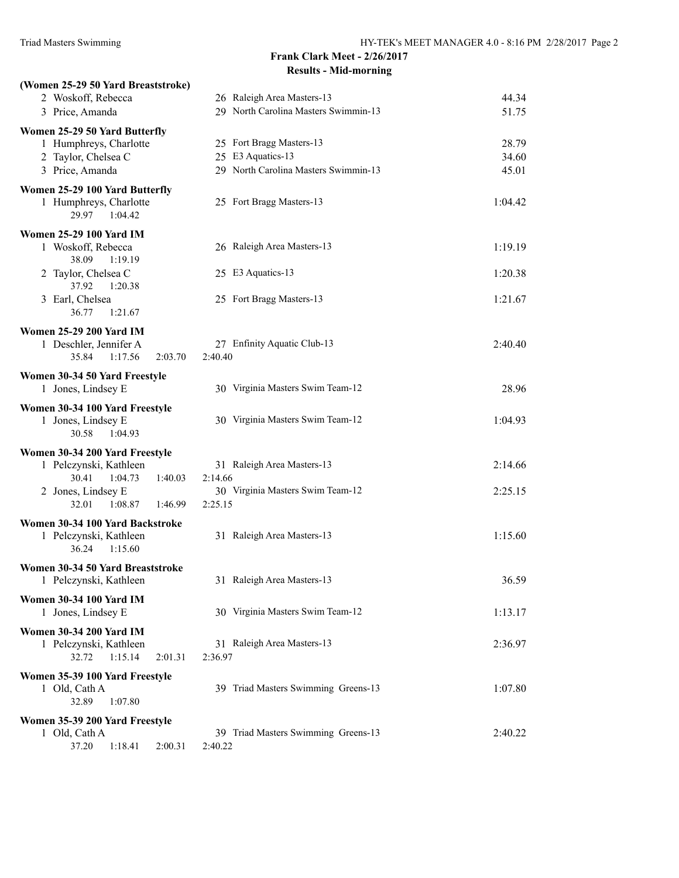| (Women 25-29 50 Yard Breaststroke)         |                                      |         |
|--------------------------------------------|--------------------------------------|---------|
| 2 Woskoff, Rebecca                         | 26 Raleigh Area Masters-13           | 44.34   |
| 3 Price, Amanda                            | 29 North Carolina Masters Swimmin-13 | 51.75   |
| Women 25-29 50 Yard Butterfly              |                                      |         |
| 1 Humphreys, Charlotte                     | 25 Fort Bragg Masters-13             | 28.79   |
| 2 Taylor, Chelsea C                        | 25 E3 Aquatics-13                    | 34.60   |
| 3 Price, Amanda                            | 29 North Carolina Masters Swimmin-13 | 45.01   |
| Women 25-29 100 Yard Butterfly             |                                      |         |
| 1 Humphreys, Charlotte<br>29.97<br>1:04.42 | 25 Fort Bragg Masters-13             | 1:04.42 |
| <b>Women 25-29 100 Yard IM</b>             |                                      |         |
| 1 Woskoff, Rebecca                         | 26 Raleigh Area Masters-13           | 1:19.19 |
| 38.09<br>1:19.19                           |                                      |         |
| 2 Taylor, Chelsea C                        | 25 E3 Aquatics-13                    | 1:20.38 |
| 37.92<br>1:20.38                           |                                      |         |
| 3 Earl, Chelsea<br>36.77                   | 25 Fort Bragg Masters-13             | 1:21.67 |
| 1:21.67                                    |                                      |         |
| <b>Women 25-29 200 Yard IM</b>             |                                      |         |
| 1 Deschler, Jennifer A                     | 27 Enfinity Aquatic Club-13          | 2:40.40 |
| 35.84<br>1:17.56<br>2:03.70                | 2:40.40                              |         |
| Women 30-34 50 Yard Freestyle              |                                      |         |
| 1 Jones, Lindsey E                         | 30 Virginia Masters Swim Team-12     | 28.96   |
| Women 30-34 100 Yard Freestyle             |                                      |         |
| 1 Jones, Lindsey E                         | 30 Virginia Masters Swim Team-12     | 1:04.93 |
| 30.58<br>1:04.93                           |                                      |         |
| Women 30-34 200 Yard Freestyle             |                                      |         |
| 1 Pelczynski, Kathleen                     | 31 Raleigh Area Masters-13           | 2:14.66 |
| 30.41<br>1:04.73<br>1:40.03                | 2:14.66                              |         |
| 2 Jones, Lindsey E                         | 30 Virginia Masters Swim Team-12     | 2:25.15 |
| 1:08.87<br>32.01<br>1:46.99                | 2:25.15                              |         |
| Women 30-34 100 Yard Backstroke            |                                      |         |
| 1 Pelczynski, Kathleen                     | 31 Raleigh Area Masters-13           | 1:15.60 |
| 1:15.60<br>36.24                           |                                      |         |
| Women 30-34 50 Yard Breaststroke           |                                      |         |
| 1 Pelczynski, Kathleen                     | 31 Raleigh Area Masters-13           | 36.59   |
| <b>Women 30-34 100 Yard IM</b>             |                                      |         |
| 1 Jones, Lindsey E                         | 30 Virginia Masters Swim Team-12     | 1:13.17 |
| <b>Women 30-34 200 Yard IM</b>             |                                      |         |
| 1 Pelczynski, Kathleen                     | 31 Raleigh Area Masters-13           | 2:36.97 |
| 1:15.14<br>2:01.31<br>32.72                | 2:36.97                              |         |
| Women 35-39 100 Yard Freestyle             |                                      |         |
| 1 Old, Cath A                              | 39 Triad Masters Swimming Greens-13  | 1:07.80 |
| 32.89<br>1:07.80                           |                                      |         |
| Women 35-39 200 Yard Freestyle             |                                      |         |
| 1 Old, Cath A                              | 39 Triad Masters Swimming Greens-13  | 2:40.22 |
| 37.20<br>1:18.41<br>2:00.31                | 2:40.22                              |         |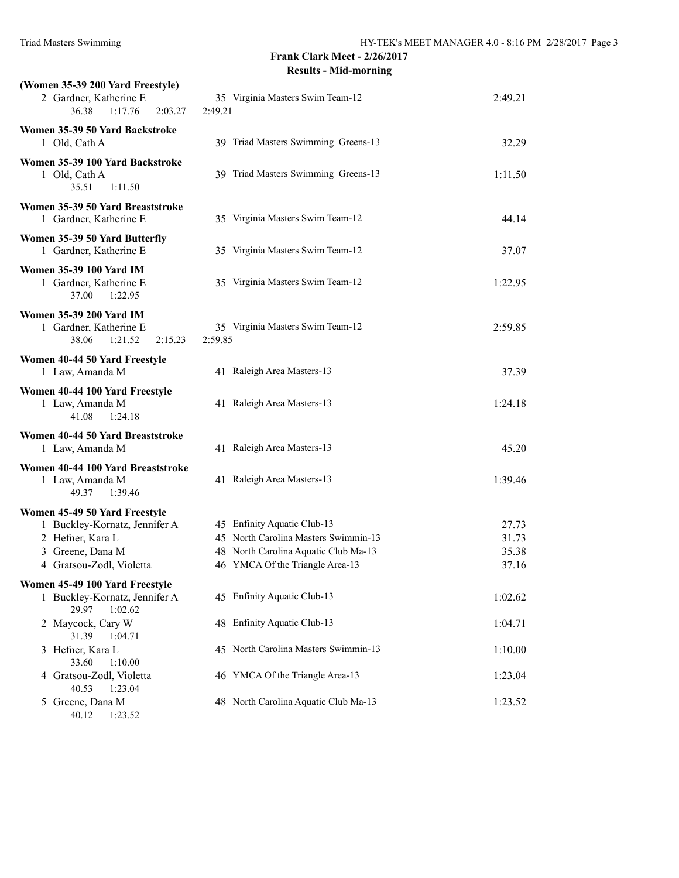| (Women 35-39 200 Yard Freestyle)<br>2 Gardner, Katherine E<br>36.38<br>1:17.76<br>2:03.27                                          | 35 Virginia Masters Swim Team-12<br>2:49.21                                                                                                    | 2:49.21                          |
|------------------------------------------------------------------------------------------------------------------------------------|------------------------------------------------------------------------------------------------------------------------------------------------|----------------------------------|
| Women 35-39 50 Yard Backstroke<br>1 Old, Cath A                                                                                    | 39 Triad Masters Swimming Greens-13                                                                                                            | 32.29                            |
| Women 35-39 100 Yard Backstroke<br>1 Old, Cath A<br>35.51<br>1:11.50                                                               | 39 Triad Masters Swimming Greens-13                                                                                                            | 1:11.50                          |
| Women 35-39 50 Yard Breaststroke<br>1 Gardner, Katherine E                                                                         | 35 Virginia Masters Swim Team-12                                                                                                               | 44.14                            |
| Women 35-39 50 Yard Butterfly<br>1 Gardner, Katherine E                                                                            | 35 Virginia Masters Swim Team-12                                                                                                               | 37.07                            |
| <b>Women 35-39 100 Yard IM</b><br>1 Gardner, Katherine E<br>37.00<br>1:22.95                                                       | 35 Virginia Masters Swim Team-12                                                                                                               | 1:22.95                          |
| <b>Women 35-39 200 Yard IM</b><br>1 Gardner, Katherine E<br>38.06<br>1:21.52<br>2:15.23                                            | 35 Virginia Masters Swim Team-12<br>2:59.85                                                                                                    | 2:59.85                          |
| Women 40-44 50 Yard Freestyle<br>1 Law, Amanda M                                                                                   | 41 Raleigh Area Masters-13                                                                                                                     | 37.39                            |
| Women 40-44 100 Yard Freestyle<br>1 Law, Amanda M<br>41.08<br>1:24.18                                                              | 41 Raleigh Area Masters-13                                                                                                                     | 1:24.18                          |
| Women 40-44 50 Yard Breaststroke<br>1 Law, Amanda M                                                                                | 41 Raleigh Area Masters-13                                                                                                                     | 45.20                            |
| Women 40-44 100 Yard Breaststroke<br>1 Law, Amanda M<br>49.37<br>1:39.46                                                           | 41 Raleigh Area Masters-13                                                                                                                     | 1:39.46                          |
| Women 45-49 50 Yard Freestyle<br>1 Buckley-Kornatz, Jennifer A<br>2 Hefner, Kara L<br>3 Greene, Dana M<br>4 Gratsou-Zodl, Violetta | 45 Enfinity Aquatic Club-13<br>45 North Carolina Masters Swimmin-13<br>48 North Carolina Aquatic Club Ma-13<br>46 YMCA Of the Triangle Area-13 | 27.73<br>31.73<br>35.38<br>37.16 |
| Women 45-49 100 Yard Freestyle<br>1 Buckley-Kornatz, Jennifer A<br>1:02.62<br>29.97                                                | 45 Enfinity Aquatic Club-13                                                                                                                    | 1:02.62                          |
| 2 Maycock, Cary W<br>31.39<br>1:04.71                                                                                              | 48 Enfinity Aquatic Club-13                                                                                                                    | 1:04.71                          |
| 3 Hefner, Kara L<br>33.60<br>1:10.00                                                                                               | 45 North Carolina Masters Swimmin-13                                                                                                           | 1:10.00                          |
| 4 Gratsou-Zodl, Violetta<br>40.53<br>1:23.04                                                                                       | 46 YMCA Of the Triangle Area-13                                                                                                                | 1:23.04                          |
| 5 Greene, Dana M<br>40.12<br>1:23.52                                                                                               | 48 North Carolina Aquatic Club Ma-13                                                                                                           | 1:23.52                          |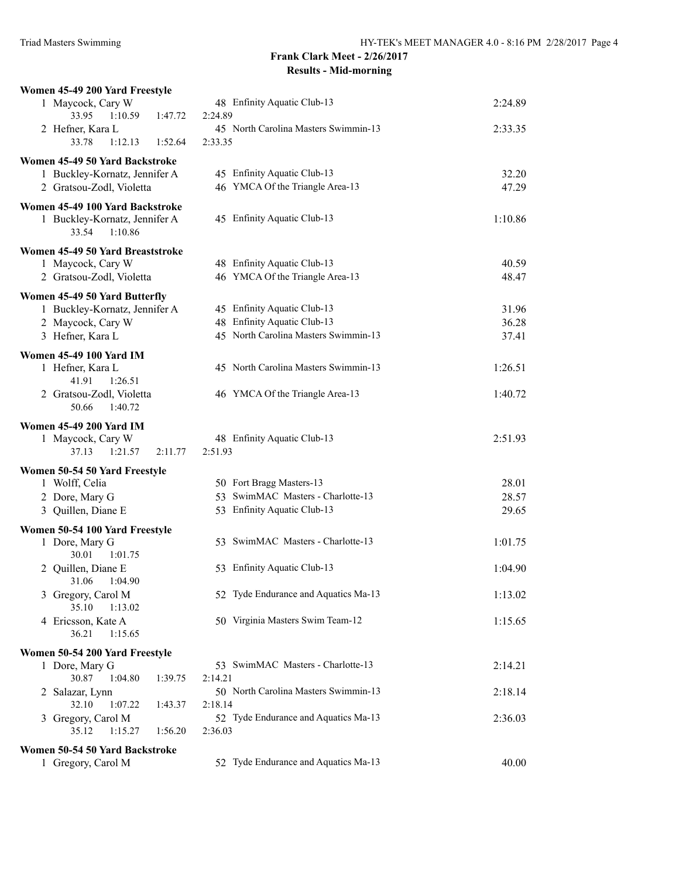| Women 45-49 200 Yard Freestyle                    |                                                 |         |
|---------------------------------------------------|-------------------------------------------------|---------|
| 1 Maycock, Cary W                                 | 48 Enfinity Aquatic Club-13                     | 2:24.89 |
| 33.95<br>1:10.59<br>1:47.72                       | 2:24.89                                         |         |
| 2 Hefner, Kara L                                  | 45 North Carolina Masters Swimmin-13            | 2:33.35 |
| 33.78<br>1:12.13<br>1:52.64                       | 2:33.35                                         |         |
| Women 45-49 50 Yard Backstroke                    |                                                 |         |
| 1 Buckley-Kornatz, Jennifer A                     | 45 Enfinity Aquatic Club-13                     | 32.20   |
| 2 Gratsou-Zodl, Violetta                          | 46 YMCA Of the Triangle Area-13                 | 47.29   |
| Women 45-49 100 Yard Backstroke                   |                                                 |         |
| 1 Buckley-Kornatz, Jennifer A                     | 45 Enfinity Aquatic Club-13                     | 1:10.86 |
| 1:10.86<br>33.54                                  |                                                 |         |
| Women 45-49 50 Yard Breaststroke                  |                                                 |         |
| 1 Maycock, Cary W                                 | 48 Enfinity Aquatic Club-13                     | 40.59   |
| 2 Gratsou-Zodl, Violetta                          | 46 YMCA Of the Triangle Area-13                 | 48.47   |
| Women 45-49 50 Yard Butterfly                     |                                                 |         |
| 1 Buckley-Kornatz, Jennifer A                     | 45 Enfinity Aquatic Club-13                     | 31.96   |
| 2 Maycock, Cary W                                 | 48 Enfinity Aquatic Club-13                     | 36.28   |
| 3 Hefner, Kara L                                  | 45 North Carolina Masters Swimmin-13            | 37.41   |
|                                                   |                                                 |         |
| <b>Women 45-49 100 Yard IM</b>                    | 45 North Carolina Masters Swimmin-13            |         |
| 1 Hefner, Kara L                                  |                                                 | 1:26.51 |
| 41.91<br>1:26.51<br>2 Gratsou-Zodl, Violetta      | 46 YMCA Of the Triangle Area-13                 | 1:40.72 |
| 50.66<br>1:40.72                                  |                                                 |         |
|                                                   |                                                 |         |
| <b>Women 45-49 200 Yard IM</b>                    |                                                 |         |
| 1 Maycock, Cary W                                 | 48 Enfinity Aquatic Club-13                     | 2:51.93 |
| 37.13<br>1:21.57<br>2:11.77                       | 2:51.93                                         |         |
| Women 50-54 50 Yard Freestyle                     |                                                 |         |
| 1 Wolff, Celia                                    | 50 Fort Bragg Masters-13                        | 28.01   |
| 2 Dore, Mary G                                    | 53 SwimMAC Masters - Charlotte-13               | 28.57   |
| 3 Quillen, Diane E                                | 53 Enfinity Aquatic Club-13                     | 29.65   |
| Women 50-54 100 Yard Freestyle                    |                                                 |         |
| 1 Dore, Mary G                                    | 53 SwimMAC Masters - Charlotte-13               | 1:01.75 |
| 30.01<br>1:01.75                                  |                                                 |         |
| 2 Quillen, Diane E                                | 53 Enfinity Aquatic Club-13                     | 1:04.90 |
| 31.06 1:04.90                                     |                                                 |         |
| 3 Gregory, Carol M                                | 52 Tyde Endurance and Aquatics Ma-13            | 1:13.02 |
| 35.10<br>1:13.02                                  |                                                 |         |
| 4 Ericsson, Kate A                                | 50 Virginia Masters Swim Team-12                | 1:15.65 |
| 36.21<br>1:15.65                                  |                                                 |         |
| Women 50-54 200 Yard Freestyle                    |                                                 |         |
| 1 Dore, Mary G                                    | 53 SwimMAC Masters - Charlotte-13               | 2:14.21 |
| 30.87<br>1:04.80<br>1:39.75                       | 2:14.21                                         |         |
| 2 Salazar, Lynn                                   | 50 North Carolina Masters Swimmin-13            | 2:18.14 |
| 32.10<br>1:07.22<br>1:43.37                       | 2:18.14<br>52 Tyde Endurance and Aquatics Ma-13 |         |
| 3 Gregory, Carol M<br>35.12<br>1:15.27<br>1:56.20 | 2:36.03                                         | 2:36.03 |
|                                                   |                                                 |         |
| Women 50-54 50 Yard Backstroke                    |                                                 |         |
| 1 Gregory, Carol M                                | 52 Tyde Endurance and Aquatics Ma-13            | 40.00   |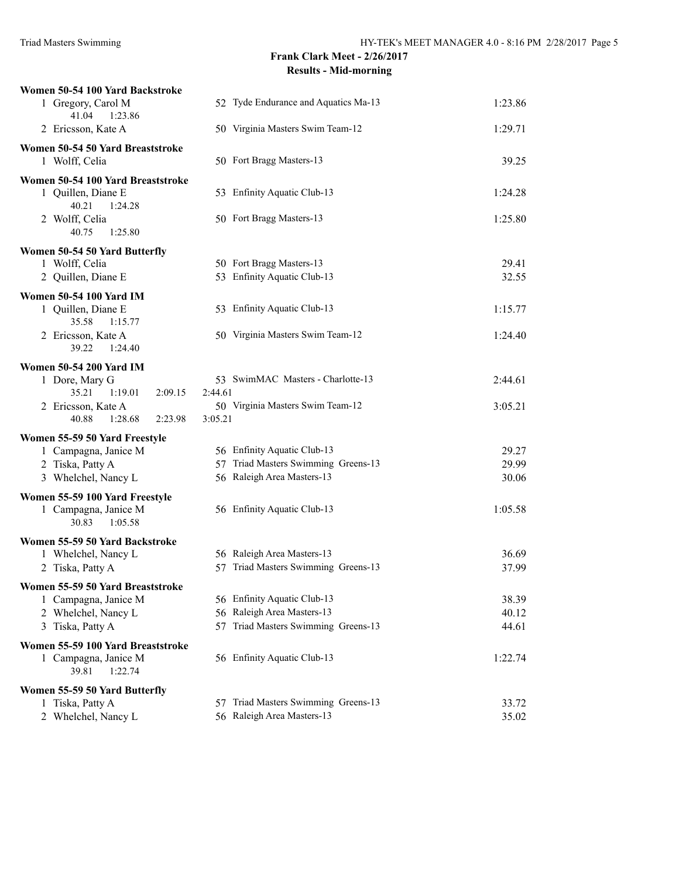| Women 50-54 100 Yard Backstroke                          |                                                                   |                |
|----------------------------------------------------------|-------------------------------------------------------------------|----------------|
| 1 Gregory, Carol M                                       | 52 Tyde Endurance and Aquatics Ma-13                              | 1:23.86        |
| 41.04<br>1:23.86<br>2 Ericsson, Kate A                   | 50 Virginia Masters Swim Team-12                                  | 1:29.71        |
|                                                          |                                                                   |                |
| Women 50-54 50 Yard Breaststroke<br>1 Wolff, Celia       | 50 Fort Bragg Masters-13                                          | 39.25          |
|                                                          |                                                                   |                |
| Women 50-54 100 Yard Breaststroke<br>1 Quillen, Diane E  | 53 Enfinity Aquatic Club-13                                       | 1:24.28        |
| 40.21<br>1:24.28                                         |                                                                   |                |
| 2 Wolff, Celia                                           | 50 Fort Bragg Masters-13                                          | 1:25.80        |
| 40.75<br>1:25.80                                         |                                                                   |                |
| Women 50-54 50 Yard Butterfly                            |                                                                   |                |
| 1 Wolff, Celia                                           | 50 Fort Bragg Masters-13                                          | 29.41          |
| 2 Quillen, Diane E                                       | 53 Enfinity Aquatic Club-13                                       | 32.55          |
| <b>Women 50-54 100 Yard IM</b>                           |                                                                   |                |
| 1 Quillen, Diane E                                       | 53 Enfinity Aquatic Club-13                                       | 1:15.77        |
| 35.58<br>1:15.77                                         |                                                                   |                |
| 2 Ericsson, Kate A                                       | 50 Virginia Masters Swim Team-12                                  | 1:24.40        |
| 39.22<br>1:24.40                                         |                                                                   |                |
| <b>Women 50-54 200 Yard IM</b>                           |                                                                   |                |
| 1 Dore, Mary G<br>35.21<br>2:09.15<br>1:19.01            | 53 SwimMAC Masters - Charlotte-13<br>2:44.61                      | 2:44.61        |
|                                                          |                                                                   | 3:05.21        |
|                                                          |                                                                   |                |
| 2 Ericsson, Kate A<br>40.88<br>1:28.68<br>2:23.98        | 50 Virginia Masters Swim Team-12<br>3:05.21                       |                |
|                                                          |                                                                   |                |
| Women 55-59 50 Yard Freestyle                            |                                                                   |                |
| 1 Campagna, Janice M                                     | 56 Enfinity Aquatic Club-13                                       | 29.27          |
| 2 Tiska, Patty A<br>3 Whelchel, Nancy L                  | 57 Triad Masters Swimming Greens-13<br>56 Raleigh Area Masters-13 | 29.99<br>30.06 |
|                                                          |                                                                   |                |
| Women 55-59 100 Yard Freestyle                           | 56 Enfinity Aquatic Club-13                                       | 1:05.58        |
| 1 Campagna, Janice M<br>30.83<br>1:05.58                 |                                                                   |                |
|                                                          |                                                                   |                |
| Women 55-59 50 Yard Backstroke<br>1 Whelchel, Nancy L    | 56 Raleigh Area Masters-13                                        | 36.69          |
| 2 Tiska, Patty A                                         | 57 Triad Masters Swimming Greens-13                               | 37.99          |
|                                                          |                                                                   |                |
| Women 55-59 50 Yard Breaststroke<br>1 Campagna, Janice M | 56 Enfinity Aquatic Club-13                                       | 38.39          |
| 2 Whelchel, Nancy L                                      | 56 Raleigh Area Masters-13                                        | 40.12          |
| 3 Tiska, Patty A                                         | 57 Triad Masters Swimming Greens-13                               | 44.61          |
| Women 55-59 100 Yard Breaststroke                        |                                                                   |                |
| 1 Campagna, Janice M                                     | 56 Enfinity Aquatic Club-13                                       | 1:22.74        |
| 1:22.74<br>39.81                                         |                                                                   |                |
| Women 55-59 50 Yard Butterfly                            |                                                                   |                |
| 1 Tiska, Patty A<br>2 Whelchel, Nancy L                  | 57 Triad Masters Swimming Greens-13<br>56 Raleigh Area Masters-13 | 33.72<br>35.02 |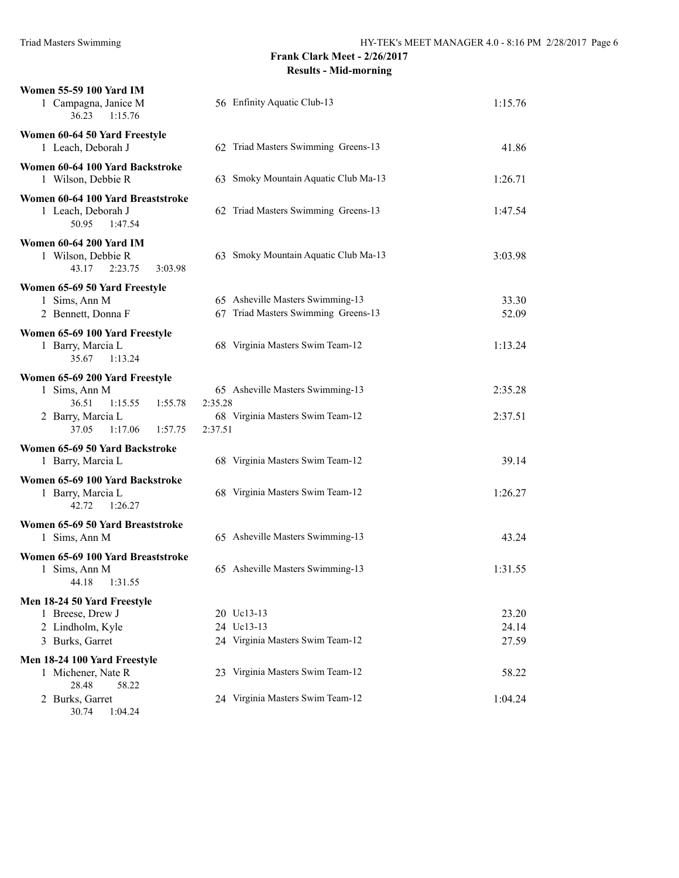| <b>Women 55-59 100 Yard IM</b><br>1 Campagna, Janice M<br>1:15.76<br>36.23             | 56 Enfinity Aquatic Club-13                                             | 1:15.76                 |
|----------------------------------------------------------------------------------------|-------------------------------------------------------------------------|-------------------------|
| Women 60-64 50 Yard Freestyle<br>1 Leach, Deborah J                                    | 62 Triad Masters Swimming Greens-13                                     | 41.86                   |
| Women 60-64 100 Yard Backstroke<br>1 Wilson, Debbie R                                  | 63 Smoky Mountain Aquatic Club Ma-13                                    | 1:26.71                 |
| Women 60-64 100 Yard Breaststroke<br>1 Leach, Deborah J<br>50.95<br>1:47.54            | 62 Triad Masters Swimming Greens-13                                     | 1:47.54                 |
| <b>Women 60-64 200 Yard IM</b><br>1 Wilson, Debbie R<br>43.17<br>2:23.75<br>3:03.98    | 63 Smoky Mountain Aquatic Club Ma-13                                    | 3:03.98                 |
| Women 65-69 50 Yard Freestyle<br>1 Sims, Ann M<br>2 Bennett, Donna F                   | 65 Asheville Masters Swimming-13<br>67 Triad Masters Swimming Greens-13 | 33.30<br>52.09          |
| Women 65-69 100 Yard Freestyle<br>1 Barry, Marcia L<br>35.67<br>1:13.24                | 68 Virginia Masters Swim Team-12                                        | 1:13.24                 |
| Women 65-69 200 Yard Freestyle<br>1 Sims, Ann M<br>36.51<br>1:15.55<br>1:55.78         | 65 Asheville Masters Swimming-13<br>2:35.28                             | 2:35.28                 |
| 2 Barry, Marcia L<br>37.05<br>1:17.06<br>1:57.75                                       | 68 Virginia Masters Swim Team-12<br>2:37.51                             | 2:37.51                 |
| Women 65-69 50 Yard Backstroke<br>1 Barry, Marcia L                                    | 68 Virginia Masters Swim Team-12                                        | 39.14                   |
| Women 65-69 100 Yard Backstroke<br>1 Barry, Marcia L<br>42.72<br>1:26.27               | 68 Virginia Masters Swim Team-12                                        | 1:26.27                 |
| Women 65-69 50 Yard Breaststroke<br>1 Sims, Ann M                                      | 65 Asheville Masters Swimming-13                                        | 43.24                   |
| Women 65-69 100 Yard Breaststroke<br>1 Sims, Ann M<br>1:31.55<br>44.18                 | 65 Asheville Masters Swimming-13                                        | 1:31.55                 |
| Men 18-24 50 Yard Freestyle<br>1 Breese, Drew J<br>2 Lindholm, Kyle<br>3 Burks, Garret | 20 Uc13-13<br>24 Uc13-13<br>24 Virginia Masters Swim Team-12            | 23.20<br>24.14<br>27.59 |
| Men 18-24 100 Yard Freestyle                                                           |                                                                         |                         |
| 1 Michener, Nate R<br>28.48<br>58.22                                                   | 23 Virginia Masters Swim Team-12                                        | 58.22                   |
| 2 Burks, Garret<br>30.74<br>1:04.24                                                    | 24 Virginia Masters Swim Team-12                                        | 1:04.24                 |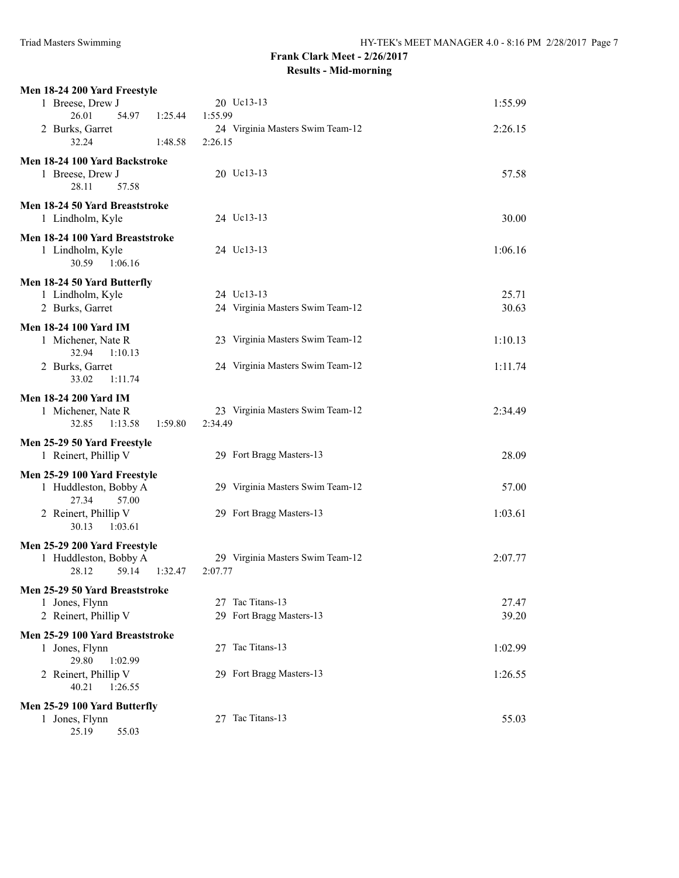| Men 18-24 200 Yard Freestyle                          |                                  |         |
|-------------------------------------------------------|----------------------------------|---------|
| 1 Breese, Drew J                                      | 20 Uc13-13                       | 1:55.99 |
| 26.01<br>54.97<br>1:25.44                             | 1:55.99                          |         |
| 2 Burks, Garret                                       | 24 Virginia Masters Swim Team-12 | 2:26.15 |
| 32.24<br>1:48.58                                      | 2:26.15                          |         |
| Men 18-24 100 Yard Backstroke                         |                                  |         |
| 1 Breese, Drew J                                      | 20 Uc13-13                       | 57.58   |
| 28.11<br>57.58                                        |                                  |         |
| Men 18-24 50 Yard Breaststroke                        |                                  |         |
| 1 Lindholm, Kyle                                      | 24 Uc13-13                       | 30.00   |
| Men 18-24 100 Yard Breaststroke                       |                                  |         |
| 1 Lindholm, Kyle                                      | 24 Uc13-13                       | 1:06.16 |
| 30.59<br>1:06.16                                      |                                  |         |
| Men 18-24 50 Yard Butterfly                           |                                  |         |
| 1 Lindholm, Kyle                                      | 24 Uc13-13                       | 25.71   |
| 2 Burks, Garret                                       | 24 Virginia Masters Swim Team-12 | 30.63   |
| <b>Men 18-24 100 Yard IM</b>                          |                                  |         |
| 1 Michener, Nate R                                    | 23 Virginia Masters Swim Team-12 | 1:10.13 |
| 32.94<br>1:10.13                                      |                                  |         |
| 2 Burks, Garret                                       | 24 Virginia Masters Swim Team-12 | 1:11.74 |
| 33.02<br>1:11.74                                      |                                  |         |
| Men 18-24 200 Yard IM                                 |                                  |         |
| 1 Michener, Nate R                                    | 23 Virginia Masters Swim Team-12 | 2:34.49 |
| 32.85 1:13.58<br>1:59.80                              | 2:34.49                          |         |
| Men 25-29 50 Yard Freestyle                           |                                  |         |
| 1 Reinert, Phillip V                                  | 29 Fort Bragg Masters-13         | 28.09   |
|                                                       |                                  |         |
| Men 25-29 100 Yard Freestyle<br>1 Huddleston, Bobby A | 29 Virginia Masters Swim Team-12 | 57.00   |
| 27.34<br>57.00                                        |                                  |         |
| 2 Reinert, Phillip V                                  | 29 Fort Bragg Masters-13         | 1:03.61 |
| 30.13<br>1:03.61                                      |                                  |         |
| Men 25-29 200 Yard Freestyle                          |                                  |         |
| 1 Huddleston, Bobby A                                 | 29 Virginia Masters Swim Team-12 | 2:07.77 |
| 28.12<br>59.14<br>1:32.47                             | 2:07.77                          |         |
| Men 25-29 50 Yard Breaststroke                        |                                  |         |
| 1 Jones, Flynn                                        | 27 Tac Titans-13                 | 27.47   |
| 2 Reinert, Phillip V                                  | 29 Fort Bragg Masters-13         | 39.20   |
| Men 25-29 100 Yard Breaststroke                       |                                  |         |
| 1 Jones, Flynn                                        | 27 Tac Titans-13                 | 1:02.99 |
| 29.80<br>1:02.99                                      |                                  |         |
| 2 Reinert, Phillip V                                  | 29 Fort Bragg Masters-13         | 1:26.55 |
| 40.21<br>1:26.55                                      |                                  |         |
| Men 25-29 100 Yard Butterfly                          |                                  |         |
| 1 Jones, Flynn                                        | 27 Tac Titans-13                 | 55.03   |
| 25.19<br>55.03                                        |                                  |         |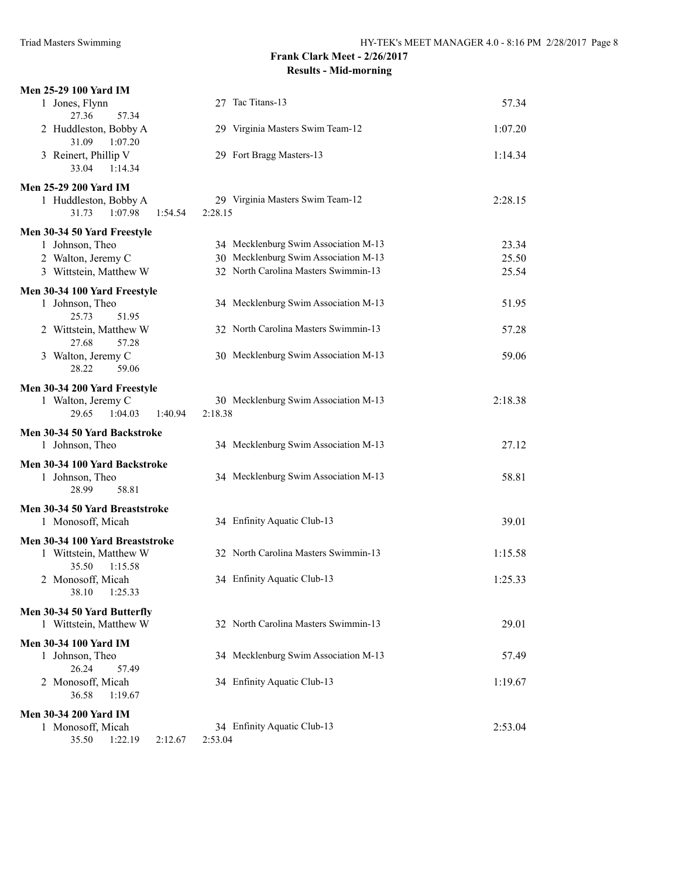| Men 25-29 100 Yard IM                                              |                                             |         |
|--------------------------------------------------------------------|---------------------------------------------|---------|
| 1 Jones, Flynn<br>57.34<br>27.36                                   | 27 Tac Titans-13                            | 57.34   |
| 2 Huddleston, Bobby A<br>31.09<br>1:07.20                          | 29 Virginia Masters Swim Team-12            | 1:07.20 |
| 3 Reinert, Phillip V<br>33.04<br>1:14.34                           | 29 Fort Bragg Masters-13                    | 1:14.34 |
| <b>Men 25-29 200 Yard IM</b>                                       |                                             |         |
| 1 Huddleston, Bobby A<br>1:07.98<br>31.73<br>1:54.54               | 29 Virginia Masters Swim Team-12<br>2:28.15 | 2:28.15 |
| Men 30-34 50 Yard Freestyle                                        |                                             |         |
| 1 Johnson, Theo                                                    | 34 Mecklenburg Swim Association M-13        | 23.34   |
| 2 Walton, Jeremy C                                                 | 30 Mecklenburg Swim Association M-13        | 25.50   |
| 3 Wittstein, Matthew W                                             | 32 North Carolina Masters Swimmin-13        | 25.54   |
| Men 30-34 100 Yard Freestyle<br>1 Johnson, Theo<br>25.73<br>51.95  | 34 Mecklenburg Swim Association M-13        | 51.95   |
| 2 Wittstein, Matthew W<br>27.68<br>57.28                           | 32 North Carolina Masters Swimmin-13        | 57.28   |
| 3 Walton, Jeremy C<br>28.22<br>59.06                               | 30 Mecklenburg Swim Association M-13        | 59.06   |
| Men 30-34 200 Yard Freestyle                                       |                                             |         |
| 1 Walton, Jeremy C                                                 | 30 Mecklenburg Swim Association M-13        | 2:18.38 |
| 29.65<br>1:04.03<br>1:40.94                                        | 2:18.38                                     |         |
| Men 30-34 50 Yard Backstroke<br>1 Johnson, Theo                    | 34 Mecklenburg Swim Association M-13        | 27.12   |
| Men 30-34 100 Yard Backstroke<br>1 Johnson, Theo<br>58.81<br>28.99 | 34 Mecklenburg Swim Association M-13        | 58.81   |
| Men 30-34 50 Yard Breaststroke<br>1 Monosoff, Micah                | 34 Enfinity Aquatic Club-13                 | 39.01   |
| Men 30-34 100 Yard Breaststroke<br>1 Wittstein, Matthew W          | 32 North Carolina Masters Swimmin-13        | 1:15.58 |
| 35.50<br>1:15.58<br>2 Monosoff, Micah<br>38.10<br>1:25.33          | 34 Enfinity Aquatic Club-13                 | 1:25.33 |
| Men 30-34 50 Yard Butterfly<br>1 Wittstein, Matthew W              | 32 North Carolina Masters Swimmin-13        | 29.01   |
| <b>Men 30-34 100 Yard IM</b>                                       |                                             |         |
| 1 Johnson, Theo                                                    | 34 Mecklenburg Swim Association M-13        | 57.49   |
| 26.24<br>57.49                                                     |                                             |         |
| 2 Monosoff, Micah<br>36.58<br>1:19.67                              | 34 Enfinity Aquatic Club-13                 | 1:19.67 |
| <b>Men 30-34 200 Yard IM</b>                                       |                                             |         |
| 1 Monosoff, Micah<br>35.50<br>1:22.19<br>2:12.67                   | 34 Enfinity Aquatic Club-13<br>2:53.04      | 2:53.04 |
|                                                                    |                                             |         |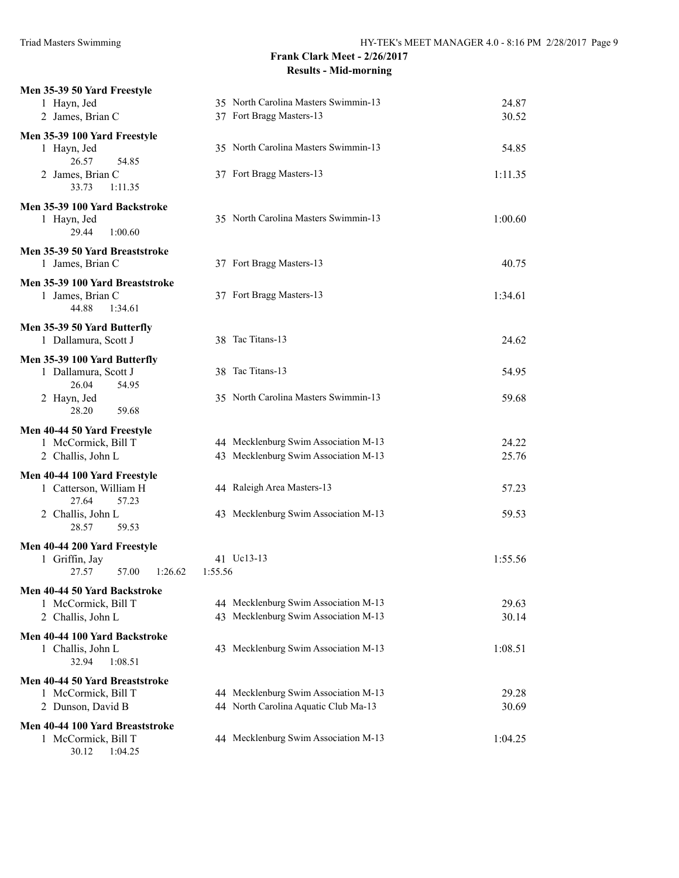| Men 35-39 50 Yard Freestyle                 |                                      |         |
|---------------------------------------------|--------------------------------------|---------|
| 1 Hayn, Jed                                 | 35 North Carolina Masters Swimmin-13 | 24.87   |
| 2 James, Brian C                            | 37 Fort Bragg Masters-13             | 30.52   |
| Men 35-39 100 Yard Freestyle                |                                      |         |
| 1 Hayn, Jed                                 | 35 North Carolina Masters Swimmin-13 | 54.85   |
| 26.57<br>54.85                              |                                      |         |
| 2 James, Brian C                            | 37 Fort Bragg Masters-13             | 1:11.35 |
| 33.73<br>1:11.35                            |                                      |         |
| Men 35-39 100 Yard Backstroke               |                                      |         |
| 1 Hayn, Jed                                 | 35 North Carolina Masters Swimmin-13 | 1:00.60 |
| 1:00.60<br>29.44                            |                                      |         |
|                                             |                                      |         |
| Men 35-39 50 Yard Breaststroke              |                                      | 40.75   |
| 1 James, Brian C                            | 37 Fort Bragg Masters-13             |         |
| Men 35-39 100 Yard Breaststroke             |                                      |         |
| 1 James, Brian C                            | 37 Fort Bragg Masters-13             | 1:34.61 |
| 44.88<br>1:34.61                            |                                      |         |
| Men 35-39 50 Yard Butterfly                 |                                      |         |
| 1 Dallamura, Scott J                        | 38 Tac Titans-13                     | 24.62   |
| Men 35-39 100 Yard Butterfly                |                                      |         |
| 1 Dallamura, Scott J                        | 38 Tac Titans-13                     | 54.95   |
| 26.04<br>54.95                              |                                      |         |
| 2 Hayn, Jed                                 | 35 North Carolina Masters Swimmin-13 | 59.68   |
| 28.20<br>59.68                              |                                      |         |
| Men 40-44 50 Yard Freestyle                 |                                      |         |
| 1 McCormick, Bill T                         | 44 Mecklenburg Swim Association M-13 | 24.22   |
| 2 Challis, John L                           | 43 Mecklenburg Swim Association M-13 | 25.76   |
|                                             |                                      |         |
| Men 40-44 100 Yard Freestyle                | 44 Raleigh Area Masters-13           |         |
| 1 Catterson, William H<br>27.64<br>57.23    |                                      | 57.23   |
| 2 Challis, John L                           | 43 Mecklenburg Swim Association M-13 | 59.53   |
| 28.57<br>59.53                              |                                      |         |
|                                             |                                      |         |
| Men 40-44 200 Yard Freestyle                | 41 Uc13-13                           | 1:55.56 |
| 1 Griffin, Jay<br>27.57<br>57.00<br>1:26.62 | 1:55.56                              |         |
|                                             |                                      |         |
| Men 40-44 50 Yard Backstroke                |                                      |         |
| 1 McCormick, Bill T                         | 44 Mecklenburg Swim Association M-13 | 29.63   |
| 2 Challis, John L                           | 43 Mecklenburg Swim Association M-13 | 30.14   |
| Men 40-44 100 Yard Backstroke               |                                      |         |
| 1 Challis, John L                           | 43 Mecklenburg Swim Association M-13 | 1:08.51 |
| 32.94<br>1:08.51                            |                                      |         |
| Men 40-44 50 Yard Breaststroke              |                                      |         |
| 1 McCormick, Bill T                         | 44 Mecklenburg Swim Association M-13 | 29.28   |
| 2 Dunson, David B                           | 44 North Carolina Aquatic Club Ma-13 | 30.69   |
| Men 40-44 100 Yard Breaststroke             |                                      |         |
| 1 McCormick, Bill T                         | 44 Mecklenburg Swim Association M-13 | 1:04.25 |
| 30.12  1:04.25                              |                                      |         |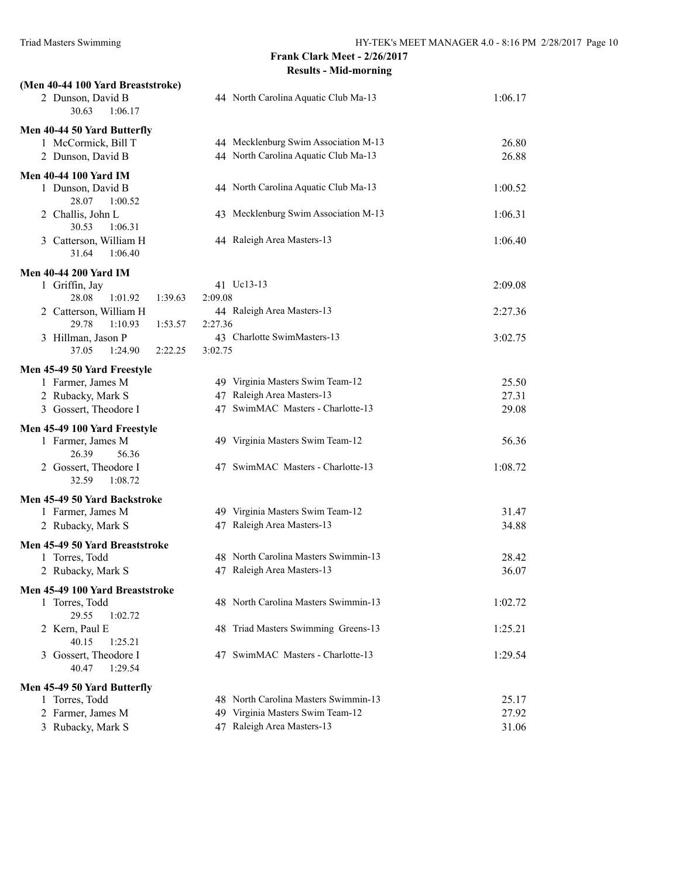| (Men 40-44 100 Yard Breaststroke)<br>2 Dunson, David B<br>30.63<br>1:06.17 | 44 North Carolina Aquatic Club Ma-13                                         | 1:06.17        |
|----------------------------------------------------------------------------|------------------------------------------------------------------------------|----------------|
| Men 40-44 50 Yard Butterfly<br>1 McCormick, Bill T<br>2 Dunson, David B    | 44 Mecklenburg Swim Association M-13<br>44 North Carolina Aquatic Club Ma-13 | 26.80<br>26.88 |
| <b>Men 40-44 100 Yard IM</b><br>1 Dunson, David B<br>28.07<br>1:00.52      | 44 North Carolina Aquatic Club Ma-13                                         | 1:00.52        |
| 2 Challis, John L<br>30.53<br>1:06.31                                      | 43 Mecklenburg Swim Association M-13                                         | 1:06.31        |
| 3 Catterson, William H<br>31.64<br>1:06.40                                 | 44 Raleigh Area Masters-13                                                   | 1:06.40        |
| <b>Men 40-44 200 Yard IM</b>                                               |                                                                              |                |
| 1 Griffin, Jay                                                             | 41 Uc13-13                                                                   | 2:09.08        |
| 28.08<br>1:01.92<br>1:39.63<br>2 Catterson, William H                      | 2:09.08<br>44 Raleigh Area Masters-13                                        | 2:27.36        |
| 29.78<br>1:10.93<br>1:53.57                                                | 2:27.36                                                                      |                |
| 3 Hillman, Jason P                                                         | 43 Charlotte SwimMasters-13                                                  | 3:02.75        |
| 37.05<br>1:24.90<br>2:22.25                                                | 3:02.75                                                                      |                |
| Men 45-49 50 Yard Freestyle                                                |                                                                              |                |
| 1 Farmer, James M                                                          | 49 Virginia Masters Swim Team-12                                             | 25.50          |
| 2 Rubacky, Mark S                                                          | 47 Raleigh Area Masters-13                                                   | 27.31          |
| 3 Gossert, Theodore I                                                      | 47 SwimMAC Masters - Charlotte-13                                            | 29.08          |
| Men 45-49 100 Yard Freestyle                                               |                                                                              |                |
| 1 Farmer, James M<br>26.39<br>56.36                                        | 49 Virginia Masters Swim Team-12                                             | 56.36          |
| 2 Gossert, Theodore I<br>32.59<br>1:08.72                                  | 47 SwimMAC Masters - Charlotte-13                                            | 1:08.72        |
| Men 45-49 50 Yard Backstroke                                               |                                                                              |                |
| 1 Farmer, James M                                                          | 49 Virginia Masters Swim Team-12                                             | 31.47          |
| 2 Rubacky, Mark S                                                          | 47 Raleigh Area Masters-13                                                   | 34.88          |
| Men 45-49 50 Yard Breaststroke                                             |                                                                              |                |
| 1 Torres, Todd                                                             | 48 North Carolina Masters Swimmin-13<br>47 Raleigh Area Masters-13           | 28.42          |
| 2 Rubacky, Mark S                                                          |                                                                              | 36.07          |
| Men 45-49 100 Yard Breaststroke                                            |                                                                              |                |
| 1 Torres, Todd<br>29.55<br>1:02.72                                         | 48 North Carolina Masters Swimmin-13                                         | 1:02.72        |
| 2 Kern, Paul E                                                             | 48 Triad Masters Swimming Greens-13                                          | 1:25.21        |
| 40.15<br>1:25.21                                                           |                                                                              |                |
| 3 Gossert, Theodore I<br>40.47<br>1:29.54                                  | 47 SwimMAC Masters - Charlotte-13                                            | 1:29.54        |
| Men 45-49 50 Yard Butterfly                                                |                                                                              |                |
| 1 Torres, Todd                                                             | 48 North Carolina Masters Swimmin-13                                         | 25.17          |
| 2 Farmer, James M                                                          | 49 Virginia Masters Swim Team-12                                             | 27.92          |
| 3 Rubacky, Mark S                                                          | 47 Raleigh Area Masters-13                                                   | 31.06          |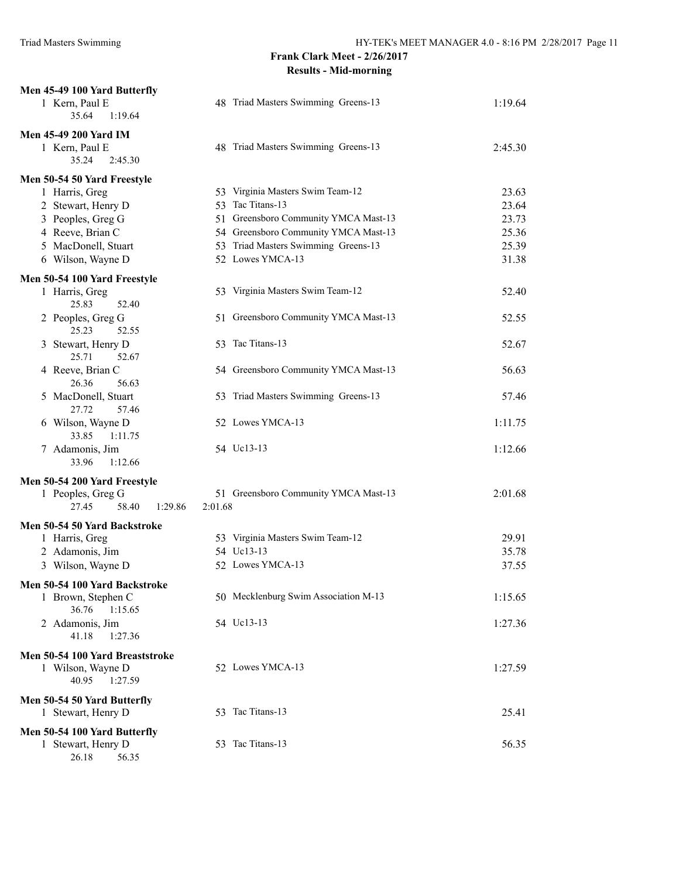| Men 45-49 100 Yard Butterfly<br>1 Kern, Paul E | 48 Triad Masters Swimming Greens-13  | 1:19.64 |
|------------------------------------------------|--------------------------------------|---------|
| 1:19.64<br>35.64                               |                                      |         |
| Men 45-49 200 Yard IM                          |                                      |         |
| 1 Kern, Paul E<br>35.24<br>2:45.30             | 48 Triad Masters Swimming Greens-13  | 2:45.30 |
|                                                |                                      |         |
| Men 50-54 50 Yard Freestyle<br>1 Harris, Greg  | 53 Virginia Masters Swim Team-12     | 23.63   |
| 2 Stewart, Henry D                             | 53 Tac Titans-13                     | 23.64   |
| 3 Peoples, Greg G                              | 51 Greensboro Community YMCA Mast-13 | 23.73   |
| 4 Reeve, Brian C                               | 54 Greensboro Community YMCA Mast-13 | 25.36   |
| 5 MacDonell, Stuart                            | 53 Triad Masters Swimming Greens-13  | 25.39   |
| 6 Wilson, Wayne D                              | 52 Lowes YMCA-13                     | 31.38   |
| Men 50-54 100 Yard Freestyle                   |                                      |         |
| 1 Harris, Greg                                 | 53 Virginia Masters Swim Team-12     | 52.40   |
| 25.83<br>52.40                                 |                                      |         |
| 2 Peoples, Greg G<br>25.23<br>52.55            | 51 Greensboro Community YMCA Mast-13 | 52.55   |
| 3 Stewart, Henry D<br>25.71<br>52.67           | 53 Tac Titans-13                     | 52.67   |
| 4 Reeve, Brian C<br>26.36<br>56.63             | 54 Greensboro Community YMCA Mast-13 | 56.63   |
| 5 MacDonell, Stuart<br>27.72<br>57.46          | 53 Triad Masters Swimming Greens-13  | 57.46   |
| 6 Wilson, Wayne D<br>33.85<br>1:11.75          | 52 Lowes YMCA-13                     | 1:11.75 |
| 7 Adamonis, Jim<br>33.96<br>1:12.66            | 54 Uc13-13                           | 1:12.66 |
| Men 50-54 200 Yard Freestyle                   |                                      |         |
| 1 Peoples, Greg G                              | 51 Greensboro Community YMCA Mast-13 | 2:01.68 |
| 27.45<br>58.40<br>1:29.86                      | 2:01.68                              |         |
| Men 50-54 50 Yard Backstroke                   |                                      |         |
| 1 Harris, Greg                                 | 53 Virginia Masters Swim Team-12     | 29.91   |
| 2 Adamonis, Jim                                | 54 Uc13-13                           | 35.78   |
| 3 Wilson, Wayne D                              | 52 Lowes YMCA-13                     | 37.55   |
| Men 50-54 100 Yard Backstroke                  |                                      |         |
| 1 Brown, Stephen C                             | 50 Mecklenburg Swim Association M-13 | 1:15.65 |
| 36.76<br>1:15.65                               |                                      |         |
| 2 Adamonis, Jim<br>41.18<br>1:27.36            | 54 Uc13-13                           | 1:27.36 |
| Men 50-54 100 Yard Breaststroke                |                                      |         |
| 1 Wilson, Wayne D                              | 52 Lowes YMCA-13                     | 1:27.59 |
| 40.95<br>1:27.59                               |                                      |         |
| Men 50-54 50 Yard Butterfly                    |                                      |         |
| 1 Stewart, Henry D                             | 53 Tac Titans-13                     | 25.41   |
| Men 50-54 100 Yard Butterfly                   |                                      |         |
| 1 Stewart, Henry D                             | 53 Tac Titans-13                     | 56.35   |
| 56.35<br>26.18                                 |                                      |         |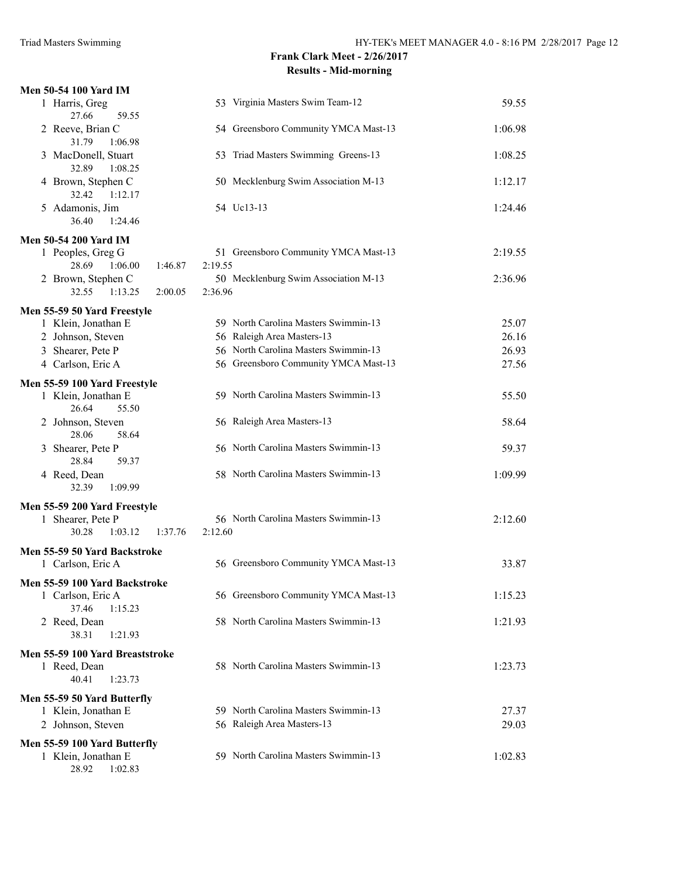| Men 50-54 100 Yard IM                                  |                                      |         |
|--------------------------------------------------------|--------------------------------------|---------|
| 1 Harris, Greg                                         | 53 Virginia Masters Swim Team-12     | 59.55   |
| 27.66<br>59.55<br>2 Reeve, Brian C<br>31.79<br>1:06.98 | 54 Greensboro Community YMCA Mast-13 | 1:06.98 |
| 3 MacDonell, Stuart<br>32.89<br>1:08.25                | 53 Triad Masters Swimming Greens-13  | 1:08.25 |
| 4 Brown, Stephen C<br>32.42<br>1:12.17                 | 50 Mecklenburg Swim Association M-13 | 1:12.17 |
| 5 Adamonis, Jim<br>36.40<br>1:24.46                    | 54 Uc13-13                           | 1:24.46 |
| <b>Men 50-54 200 Yard IM</b>                           |                                      |         |
| 1 Peoples, Greg G                                      | 51 Greensboro Community YMCA Mast-13 | 2:19.55 |
| 28.69<br>1:06.00<br>1:46.87                            | 2:19.55                              |         |
| 2 Brown, Stephen C                                     | 50 Mecklenburg Swim Association M-13 | 2:36.96 |
| 32.55<br>1:13.25<br>2:00.05                            | 2:36.96                              |         |
| Men 55-59 50 Yard Freestyle                            |                                      |         |
| 1 Klein, Jonathan E                                    | 59 North Carolina Masters Swimmin-13 | 25.07   |
| 2 Johnson, Steven                                      | 56 Raleigh Area Masters-13           | 26.16   |
| 3 Shearer, Pete P                                      | 56 North Carolina Masters Swimmin-13 | 26.93   |
| 4 Carlson, Eric A                                      | 56 Greensboro Community YMCA Mast-13 | 27.56   |
| Men 55-59 100 Yard Freestyle                           |                                      |         |
| 1 Klein, Jonathan E                                    | 59 North Carolina Masters Swimmin-13 | 55.50   |
| 26.64<br>55.50                                         |                                      |         |
| 2 Johnson, Steven<br>28.06<br>58.64                    | 56 Raleigh Area Masters-13           | 58.64   |
| 3 Shearer, Pete P<br>28.84<br>59.37                    | 56 North Carolina Masters Swimmin-13 | 59.37   |
| 4 Reed, Dean<br>32.39<br>1:09.99                       | 58 North Carolina Masters Swimmin-13 | 1:09.99 |
| Men 55-59 200 Yard Freestyle                           |                                      |         |
| 1 Shearer, Pete P                                      | 56 North Carolina Masters Swimmin-13 | 2:12.60 |
| 30.28<br>1:03.12<br>1:37.76                            | 2:12.60                              |         |
| Men 55-59 50 Yard Backstroke                           |                                      |         |
| 1 Carlson, Eric A                                      | 56 Greensboro Community YMCA Mast-13 | 33.87   |
| Men 55-59 100 Yard Backstroke                          |                                      |         |
| 1 Carlson, Eric A                                      | 56 Greensboro Community YMCA Mast-13 | 1:15.23 |
| 37.46<br>1:15.23                                       |                                      |         |
| 2 Reed, Dean                                           | 58 North Carolina Masters Swimmin-13 | 1:21.93 |
| 38.31<br>1:21.93                                       |                                      |         |
| Men 55-59 100 Yard Breaststroke                        |                                      |         |
| 1 Reed, Dean<br>40.41<br>1:23.73                       | 58 North Carolina Masters Swimmin-13 | 1:23.73 |
| Men 55-59 50 Yard Butterfly                            |                                      |         |
| 1 Klein, Jonathan E                                    | 59 North Carolina Masters Swimmin-13 | 27.37   |
| 2 Johnson, Steven                                      | 56 Raleigh Area Masters-13           | 29.03   |
| Men 55-59 100 Yard Butterfly                           |                                      |         |
| 1 Klein, Jonathan E                                    | 59 North Carolina Masters Swimmin-13 | 1:02.83 |
| 28.92<br>1:02.83                                       |                                      |         |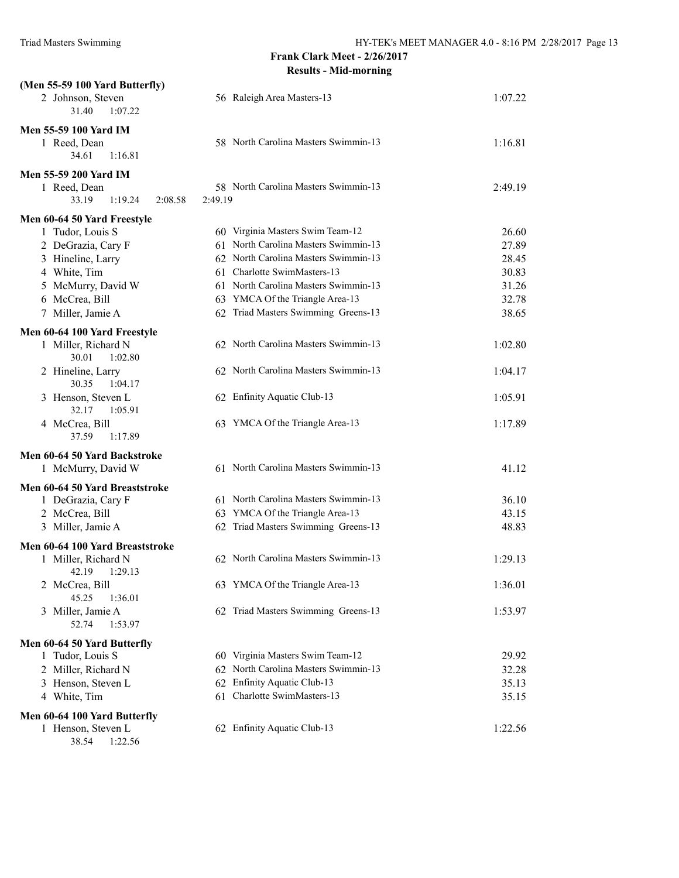| (Men 55-59 100 Yard Butterfly)                                          |                                                 |         |
|-------------------------------------------------------------------------|-------------------------------------------------|---------|
| 2 Johnson, Steven<br>31.40<br>1:07.22                                   | 56 Raleigh Area Masters-13                      | 1:07.22 |
| <b>Men 55-59 100 Yard IM</b><br>1 Reed, Dean<br>34.61<br>1:16.81        | 58 North Carolina Masters Swimmin-13            | 1:16.81 |
| <b>Men 55-59 200 Yard IM</b>                                            |                                                 |         |
| 1 Reed, Dean<br>33.19<br>1:19.24<br>2:08.58                             | 58 North Carolina Masters Swimmin-13<br>2:49.19 | 2:49.19 |
| Men 60-64 50 Yard Freestyle                                             |                                                 |         |
| 1 Tudor, Louis S                                                        | 60 Virginia Masters Swim Team-12                | 26.60   |
| 2 DeGrazia, Cary F                                                      | 61 North Carolina Masters Swimmin-13            | 27.89   |
| 3 Hineline, Larry                                                       | 62 North Carolina Masters Swimmin-13            | 28.45   |
| 4 White, Tim                                                            | 61 Charlotte SwimMasters-13                     | 30.83   |
| 5 McMurry, David W                                                      | 61 North Carolina Masters Swimmin-13            | 31.26   |
| 6 McCrea, Bill                                                          | 63 YMCA Of the Triangle Area-13                 | 32.78   |
| 7 Miller, Jamie A                                                       | 62 Triad Masters Swimming Greens-13             | 38.65   |
| Men 60-64 100 Yard Freestyle<br>1 Miller, Richard N<br>30.01<br>1:02.80 | 62 North Carolina Masters Swimmin-13            | 1:02.80 |
| 2 Hineline, Larry<br>30.35<br>1:04.17                                   | 62 North Carolina Masters Swimmin-13            | 1:04.17 |
| 3 Henson, Steven L<br>32.17<br>1:05.91                                  | 62 Enfinity Aquatic Club-13                     | 1:05.91 |
| 4 McCrea, Bill<br>37.59<br>1:17.89                                      | 63 YMCA Of the Triangle Area-13                 | 1:17.89 |
| Men 60-64 50 Yard Backstroke<br>1 McMurry, David W                      | 61 North Carolina Masters Swimmin-13            | 41.12   |
| Men 60-64 50 Yard Breaststroke                                          |                                                 |         |
| 1 DeGrazia, Cary F                                                      | 61 North Carolina Masters Swimmin-13            | 36.10   |
| 2 McCrea, Bill                                                          | 63 YMCA Of the Triangle Area-13                 | 43.15   |
| 3 Miller, Jamie A                                                       | 62 Triad Masters Swimming Greens-13             | 48.83   |
| Men 60-64 100 Yard Breaststroke                                         |                                                 |         |
| 1 Miller, Richard N<br>42.19<br>1:29.13                                 | 62 North Carolina Masters Swimmin-13            | 1:29.13 |
| 2 McCrea, Bill<br>45.25<br>1:36.01                                      | 63 YMCA Of the Triangle Area-13                 | 1:36.01 |
| 3 Miller, Jamie A<br>52.74<br>1:53.97                                   | 62 Triad Masters Swimming Greens-13             | 1:53.97 |
| Men 60-64 50 Yard Butterfly                                             |                                                 |         |
| 1 Tudor, Louis S                                                        | 60 Virginia Masters Swim Team-12                | 29.92   |
| 2 Miller, Richard N                                                     | 62 North Carolina Masters Swimmin-13            | 32.28   |
| 3 Henson, Steven L                                                      | 62 Enfinity Aquatic Club-13                     | 35.13   |
| 4 White, Tim                                                            | Charlotte SwimMasters-13<br>61                  | 35.15   |
| Men 60-64 100 Yard Butterfly                                            |                                                 |         |
| 1 Henson, Steven L<br>38.54<br>1:22.56                                  | 62 Enfinity Aquatic Club-13                     | 1:22.56 |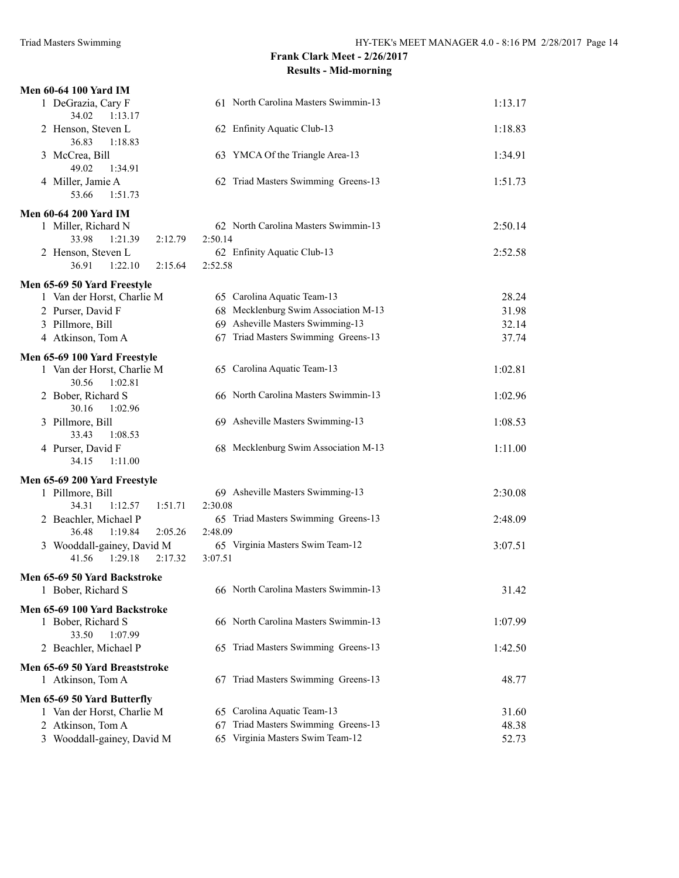| <b>Men 60-64 100 Yard IM</b>                   |                                        |         |
|------------------------------------------------|----------------------------------------|---------|
| 1 DeGrazia, Cary F<br>34.02<br>1:13.17         | 61 North Carolina Masters Swimmin-13   | 1:13.17 |
| 2 Henson, Steven L<br>36.83<br>1:18.83         | 62 Enfinity Aquatic Club-13            | 1:18.83 |
| 3 McCrea, Bill<br>49.02<br>1:34.91             | 63 YMCA Of the Triangle Area-13        | 1:34.91 |
| 4 Miller, Jamie A<br>53.66<br>1:51.73          | 62 Triad Masters Swimming Greens-13    | 1:51.73 |
| <b>Men 60-64 200 Yard IM</b>                   |                                        |         |
| 1 Miller, Richard N                            | 62 North Carolina Masters Swimmin-13   | 2:50.14 |
| 33.98<br>1:21.39<br>2:12.79                    | 2:50.14                                |         |
| 2 Henson, Steven L                             | 62 Enfinity Aquatic Club-13            | 2:52.58 |
| 36.91<br>1:22.10<br>2:15.64                    | 2:52.58                                |         |
|                                                |                                        |         |
| Men 65-69 50 Yard Freestyle                    |                                        |         |
| 1 Van der Horst, Charlie M                     | 65 Carolina Aquatic Team-13            | 28.24   |
| 2 Purser, David F                              | 68 Mecklenburg Swim Association M-13   | 31.98   |
| 3 Pillmore, Bill                               | 69 Asheville Masters Swimming-13       | 32.14   |
| 4 Atkinson, Tom A                              | 67 Triad Masters Swimming Greens-13    | 37.74   |
| Men 65-69 100 Yard Freestyle                   |                                        |         |
| 1 Van der Horst, Charlie M<br>30.56<br>1:02.81 | 65 Carolina Aquatic Team-13            | 1:02.81 |
| 2 Bober, Richard S<br>30.16<br>1:02.96         | 66 North Carolina Masters Swimmin-13   | 1:02.96 |
| 3 Pillmore, Bill<br>33.43<br>1:08.53           | 69 Asheville Masters Swimming-13       | 1:08.53 |
| 4 Purser, David F<br>34.15<br>1:11.00          | 68 Mecklenburg Swim Association M-13   | 1:11.00 |
| Men 65-69 200 Yard Freestyle                   |                                        |         |
| 1 Pillmore, Bill                               | 69 Asheville Masters Swimming-13       | 2:30.08 |
| 34.31<br>1:12.57<br>1:51.71                    | 2:30.08                                |         |
| 2 Beachler, Michael P                          | 65 Triad Masters Swimming Greens-13    | 2:48.09 |
| 36.48<br>1:19.84<br>2:05.26                    | 2:48.09                                |         |
| 3 Wooddall-gainey, David M                     | 65 Virginia Masters Swim Team-12       | 3:07.51 |
| 41.56<br>1:29.18<br>2:17.32                    | 3:07.51                                |         |
| Men 65-69 50 Yard Backstroke                   |                                        |         |
| 1 Bober, Richard S                             | 66 North Carolina Masters Swimmin-13   | 31.42   |
|                                                |                                        |         |
| Men 65-69 100 Yard Backstroke                  |                                        |         |
| 1 Bober, Richard S                             | 66 North Carolina Masters Swimmin-13   | 1:07.99 |
| 33.50<br>1:07.99                               |                                        |         |
| 2 Beachler, Michael P                          | 65 Triad Masters Swimming Greens-13    | 1:42.50 |
| Men 65-69 50 Yard Breaststroke                 |                                        |         |
| 1 Atkinson, Tom A                              | 67 Triad Masters Swimming Greens-13    | 48.77   |
| Men 65-69 50 Yard Butterfly                    |                                        |         |
| 1 Van der Horst, Charlie M                     | 65 Carolina Aquatic Team-13            | 31.60   |
| 2 Atkinson, Tom A                              | Triad Masters Swimming Greens-13<br>67 | 48.38   |
| 3 Wooddall-gainey, David M                     | 65 Virginia Masters Swim Team-12       | 52.73   |
|                                                |                                        |         |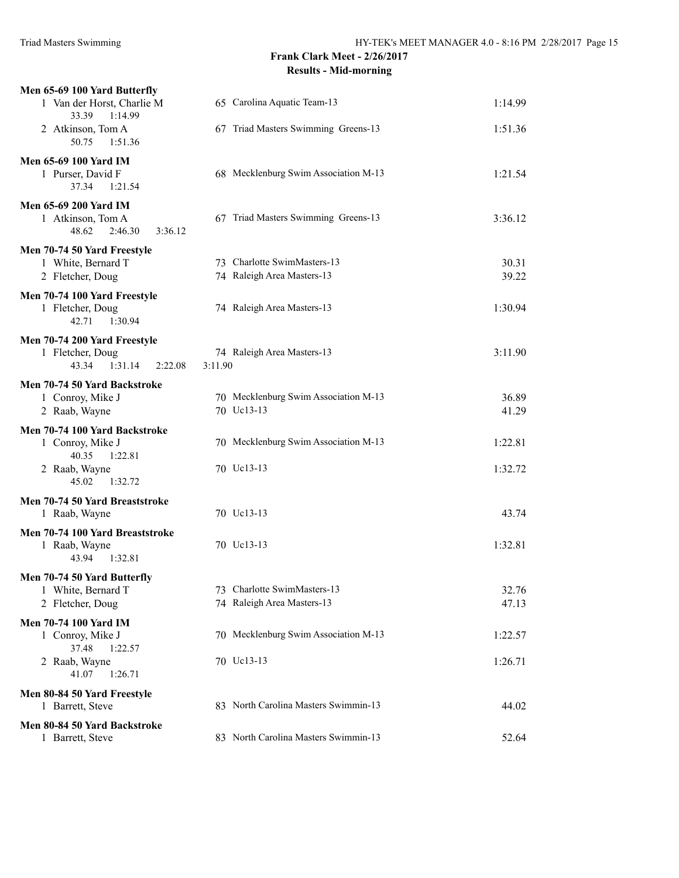| Men 65-69 100 Yard Butterfly                                                     |                                       |         |
|----------------------------------------------------------------------------------|---------------------------------------|---------|
| 1 Van der Horst, Charlie M<br>33.39<br>1:14.99                                   | 65 Carolina Aquatic Team-13           | 1:14.99 |
| 2 Atkinson, Tom A<br>50.75<br>1:51.36                                            | 67 Triad Masters Swimming Greens-13   | 1:51.36 |
| <b>Men 65-69 100 Yard IM</b><br>1 Purser, David F<br>37.34<br>1:21.54            | 68 Mecklenburg Swim Association M-13  | 1:21.54 |
| <b>Men 65-69 200 Yard IM</b><br>1 Atkinson, Tom A<br>48.62<br>2:46.30<br>3:36.12 | 67 Triad Masters Swimming Greens-13   | 3:36.12 |
| Men 70-74 50 Yard Freestyle                                                      |                                       |         |
| 1 White, Bernard T                                                               | 73 Charlotte SwimMasters-13           | 30.31   |
| 2 Fletcher, Doug                                                                 | 74 Raleigh Area Masters-13            | 39.22   |
| Men 70-74 100 Yard Freestyle<br>1 Fletcher, Doug<br>42.71<br>1:30.94             | 74 Raleigh Area Masters-13            | 1:30.94 |
| Men 70-74 200 Yard Freestyle                                                     |                                       |         |
| 1 Fletcher, Doug<br>1:31.14<br>43.34<br>2:22.08                                  | 74 Raleigh Area Masters-13<br>3:11.90 | 3:11.90 |
| Men 70-74 50 Yard Backstroke                                                     |                                       |         |
| 1 Conroy, Mike J                                                                 | 70 Mecklenburg Swim Association M-13  | 36.89   |
| 2 Raab, Wayne                                                                    | 70 Uc13-13                            | 41.29   |
| Men 70-74 100 Yard Backstroke<br>1 Conroy, Mike J<br>40.35<br>1:22.81            | 70 Mecklenburg Swim Association M-13  | 1:22.81 |
| 2 Raab, Wayne<br>45.02<br>1:32.72                                                | 70 Uc13-13                            | 1:32.72 |
| Men 70-74 50 Yard Breaststroke<br>1 Raab, Wayne                                  | 70 Uc13-13                            | 43.74   |
| Men 70-74 100 Yard Breaststroke<br>1 Raab, Wayne<br>43.94<br>1:32.81             | 70 Uc13-13                            | 1:32.81 |
| Men 70-74 50 Yard Butterfly                                                      |                                       |         |
| 1 White, Bernard T                                                               | 73 Charlotte SwimMasters-13           | 32.76   |
| 2 Fletcher, Doug                                                                 | 74 Raleigh Area Masters-13            | 47.13   |
| <b>Men 70-74 100 Yard IM</b><br>1 Conroy, Mike J<br>37.48<br>1:22.57             | 70 Mecklenburg Swim Association M-13  | 1:22.57 |
| 2 Raab, Wayne<br>41.07<br>1:26.71                                                | 70 Uc13-13                            | 1:26.71 |
| Men 80-84 50 Yard Freestyle<br>1 Barrett, Steve                                  | 83 North Carolina Masters Swimmin-13  | 44.02   |
| Men 80-84 50 Yard Backstroke<br>1 Barrett, Steve                                 | 83 North Carolina Masters Swimmin-13  | 52.64   |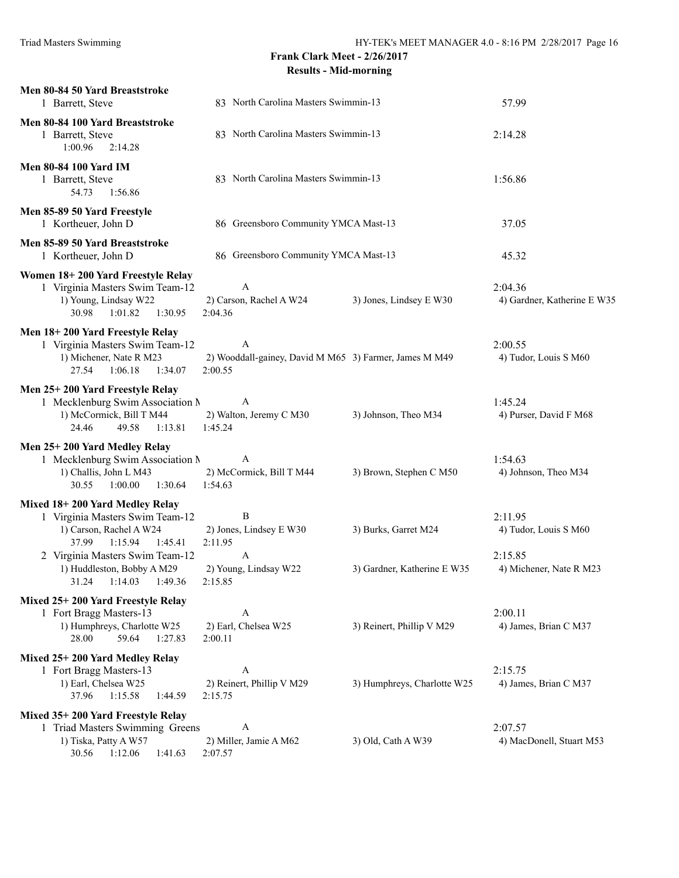| Men 80-84 50 Yard Breaststroke<br>1 Barrett, Steve                                                                                                                                                                    | 83 North Carolina Masters Swimmin-13                                             |                                                     | 57.99                                                                  |
|-----------------------------------------------------------------------------------------------------------------------------------------------------------------------------------------------------------------------|----------------------------------------------------------------------------------|-----------------------------------------------------|------------------------------------------------------------------------|
| Men 80-84 100 Yard Breaststroke<br>1 Barrett, Steve<br>1:00.96<br>2:14.28                                                                                                                                             | 83 North Carolina Masters Swimmin-13                                             |                                                     | 2:14.28                                                                |
| <b>Men 80-84 100 Yard IM</b><br>1 Barrett, Steve<br>54.73<br>1:56.86                                                                                                                                                  | 83 North Carolina Masters Swimmin-13                                             |                                                     | 1:56.86                                                                |
| Men 85-89 50 Yard Freestyle<br>1 Kortheuer, John D                                                                                                                                                                    | 86 Greensboro Community YMCA Mast-13                                             |                                                     | 37.05                                                                  |
| Men 85-89 50 Yard Breaststroke<br>1 Kortheuer, John D                                                                                                                                                                 | 86 Greensboro Community YMCA Mast-13                                             |                                                     | 45.32                                                                  |
| Women 18+200 Yard Freestyle Relay<br>1 Virginia Masters Swim Team-12<br>1) Young, Lindsay W22<br>30.98<br>1:01.82<br>1:30.95                                                                                          | $\mathbf{A}$<br>2) Carson, Rachel A W24<br>2:04.36                               | 3) Jones, Lindsey E W30                             | 2:04.36<br>4) Gardner, Katherine E W35                                 |
| Men 18+200 Yard Freestyle Relay<br>1 Virginia Masters Swim Team-12<br>1) Michener, Nate R M23<br>27.54<br>1:06.18<br>1:34.07                                                                                          | A<br>2) Wooddall-gainey, David M M65 3) Farmer, James M M49<br>2:00.55           |                                                     | 2:00.55<br>4) Tudor, Louis S M60                                       |
| Men 25+200 Yard Freestyle Relay<br>1 Mecklenburg Swim Association N<br>1) McCormick, Bill T M44<br>24.46<br>49.58<br>1:13.81                                                                                          | A<br>2) Walton, Jeremy C M30<br>1:45.24                                          | 3) Johnson, Theo M34                                | 1:45.24<br>4) Purser, David F M68                                      |
| Men 25+200 Yard Medley Relay<br>1 Mecklenburg Swim Association N<br>1) Challis, John L M43<br>30.55<br>1:00.00<br>1:30.64                                                                                             | A<br>2) McCormick, Bill T M44<br>1:54.63                                         | 3) Brown, Stephen C M50                             | 1:54.63<br>4) Johnson, Theo M34                                        |
| Mixed 18+200 Yard Medley Relay<br>1 Virginia Masters Swim Team-12<br>1) Carson, Rachel A W24<br>37.99<br>1:15.94<br>1:45.41<br>2 Virginia Masters Swim Team-12<br>1) Huddleston, Bobby A M29<br>31.24 1:14.03 1:49.36 | B<br>2) Jones, Lindsey E W30<br>2:11.95<br>A<br>2) Young, Lindsay W22<br>2:15.85 | 3) Burks, Garret M24<br>3) Gardner, Katherine E W35 | 2:11.95<br>4) Tudor, Louis S M60<br>2:15.85<br>4) Michener, Nate R M23 |
| Mixed 25+200 Yard Freestyle Relay<br>1 Fort Bragg Masters-13<br>1) Humphreys, Charlotte W25<br>59.64<br>1:27.83<br>28.00                                                                                              | $\mathbf{A}$<br>2) Earl, Chelsea W25<br>2:00.11                                  | 3) Reinert, Phillip V M29                           | 2:00.11<br>4) James, Brian C M37                                       |
| Mixed 25+200 Yard Medley Relay<br>1 Fort Bragg Masters-13<br>1) Earl, Chelsea W25<br>37.96<br>1:15.58<br>1:44.59                                                                                                      | A<br>2) Reinert, Phillip V M29<br>2:15.75                                        | 3) Humphreys, Charlotte W25                         | 2:15.75<br>4) James, Brian C M37                                       |
| Mixed 35+200 Yard Freestyle Relay<br>1 Triad Masters Swimming Greens<br>1) Tiska, Patty A W57<br>30.56<br>1:12.06<br>1:41.63                                                                                          | $\mathbf{A}$<br>2) Miller, Jamie A M62<br>2:07.57                                | 3) Old, Cath A W39                                  | 2:07.57<br>4) MacDonell, Stuart M53                                    |